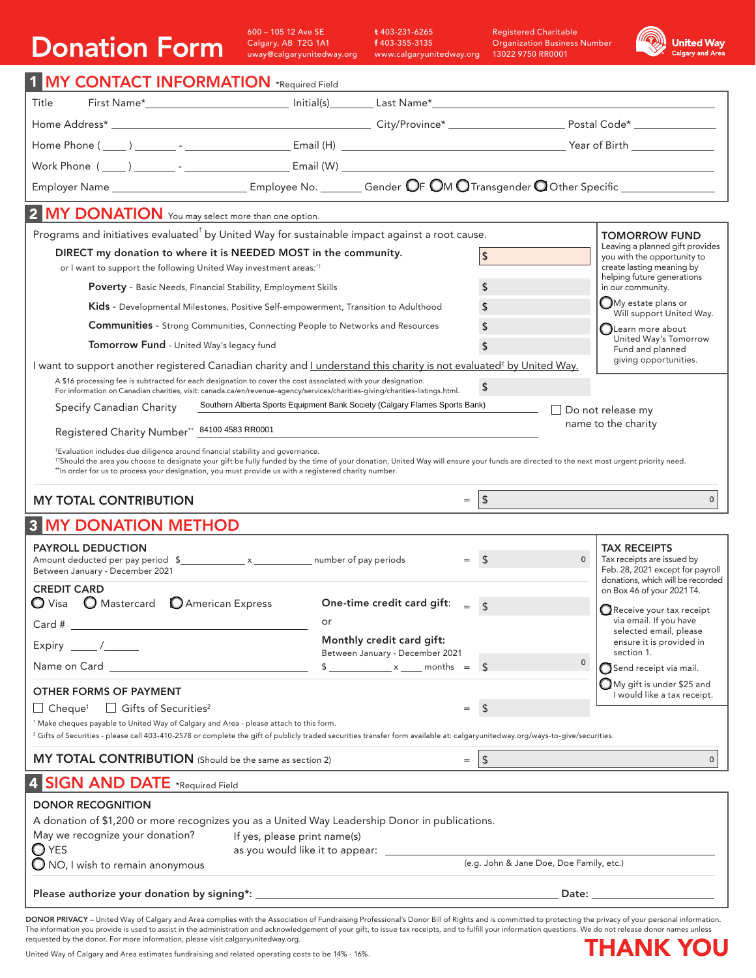## Donation Form

600 – 105 12 Ave SE Calgary, AB T2G 1A1 uway@calgaryunitedway.org

t 403-231-6265 f 403-355-3135 www.calgaryunitedway.org

Registered Charitable Organization Business Number 13022 9750 RR0001



| 1 MY CONTACT INFORMATION *Required Field <b>CONTACT INFORMATION</b> *Required Field                                                                                                                                                                                                                                                                                             |                                                                                                                              |                                                                                             |                                                                 |  |  |  |  |  |
|---------------------------------------------------------------------------------------------------------------------------------------------------------------------------------------------------------------------------------------------------------------------------------------------------------------------------------------------------------------------------------|------------------------------------------------------------------------------------------------------------------------------|---------------------------------------------------------------------------------------------|-----------------------------------------------------------------|--|--|--|--|--|
| Title                                                                                                                                                                                                                                                                                                                                                                           |                                                                                                                              |                                                                                             |                                                                 |  |  |  |  |  |
|                                                                                                                                                                                                                                                                                                                                                                                 |                                                                                                                              |                                                                                             |                                                                 |  |  |  |  |  |
|                                                                                                                                                                                                                                                                                                                                                                                 |                                                                                                                              |                                                                                             |                                                                 |  |  |  |  |  |
|                                                                                                                                                                                                                                                                                                                                                                                 |                                                                                                                              |                                                                                             |                                                                 |  |  |  |  |  |
| Employer Name _________________________________Employee No. __________Gender OF OM O Transgender O Other Specific ____________________                                                                                                                                                                                                                                          |                                                                                                                              |                                                                                             |                                                                 |  |  |  |  |  |
| 2 MY DONATION You may select more than one option.                                                                                                                                                                                                                                                                                                                              |                                                                                                                              |                                                                                             |                                                                 |  |  |  |  |  |
| Programs and initiatives evaluated <sup>†</sup> by United Way for sustainable impact against a root cause.                                                                                                                                                                                                                                                                      |                                                                                                                              |                                                                                             | <b>TOMORROW FUND</b>                                            |  |  |  |  |  |
| DIRECT my donation to where it is NEEDED MOST in the community.<br>or I want to support the following United Way investment areas: <sup>11</sup>                                                                                                                                                                                                                                | \$                                                                                                                           | Leaving a planned gift provides<br>you with the opportunity to<br>create lasting meaning by |                                                                 |  |  |  |  |  |
| Poverty - Basic Needs, Financial Stability, Employment Skills                                                                                                                                                                                                                                                                                                                   | \$                                                                                                                           | helping future generations<br>in our community.                                             |                                                                 |  |  |  |  |  |
| <b>Kids</b> - Developmental Milestones, Positive Self-empowerment, Transition to Adulthood                                                                                                                                                                                                                                                                                      | \$                                                                                                                           | $\bigcirc$ My estate plans or<br>Will support United Way.                                   |                                                                 |  |  |  |  |  |
|                                                                                                                                                                                                                                                                                                                                                                                 | \$<br><b>Communities</b> - Strong Communities, Connecting People to Networks and Resources                                   |                                                                                             |                                                                 |  |  |  |  |  |
| Tomorrow Fund - United Way's legacy fund                                                                                                                                                                                                                                                                                                                                        | \$                                                                                                                           | United Way's Tomorrow<br>Fund and planned                                                   |                                                                 |  |  |  |  |  |
| giving opportunities.<br>I want to support another registered Canadian charity and <i>Lunderstand this charity is not evaluated<sup>†</sup> by United Way.</i>                                                                                                                                                                                                                  |                                                                                                                              |                                                                                             |                                                                 |  |  |  |  |  |
| A \$16 processing fee is subtracted for each designation to cover the cost associated with your designation.                                                                                                                                                                                                                                                                    | For information on Canadian charities, visit: canada.ca/en/revenue-agency/services/charities-giving/charities-listings.html. | \$                                                                                          |                                                                 |  |  |  |  |  |
| Specify Canadian Charity                                                                                                                                                                                                                                                                                                                                                        | Southern Alberta Sports Equipment Bank Society (Calgary Flames Sports Bank)                                                  |                                                                                             | Do not release my                                               |  |  |  |  |  |
|                                                                                                                                                                                                                                                                                                                                                                                 | name to the charity                                                                                                          |                                                                                             |                                                                 |  |  |  |  |  |
| Registered Charity Number** 84100 4583 RR0001                                                                                                                                                                                                                                                                                                                                   |                                                                                                                              |                                                                                             |                                                                 |  |  |  |  |  |
| *Evaluation includes due diligence around financial stability and governance.<br>#Should the area you choose to designate your gift be fully funded by the time of your donation, United Way will ensure your funds are directed to the next most urgent priority need.<br>**In order for us to process your designation, you must provide us with a registered charity number. |                                                                                                                              |                                                                                             |                                                                 |  |  |  |  |  |
|                                                                                                                                                                                                                                                                                                                                                                                 |                                                                                                                              |                                                                                             |                                                                 |  |  |  |  |  |
| <b>MY TOTAL CONTRIBUTION</b>                                                                                                                                                                                                                                                                                                                                                    |                                                                                                                              | $\vert$ \$<br>$=$                                                                           | $\mathbf{0}$                                                    |  |  |  |  |  |
| <b>3 MY DONATION METHOD</b>                                                                                                                                                                                                                                                                                                                                                     |                                                                                                                              |                                                                                             |                                                                 |  |  |  |  |  |
| <b>PAYROLL DEDUCTION</b>                                                                                                                                                                                                                                                                                                                                                        |                                                                                                                              |                                                                                             | <b>TAX RECEIPTS</b>                                             |  |  |  |  |  |
| Between January - December 2021                                                                                                                                                                                                                                                                                                                                                 |                                                                                                                              | $\overline{0}$<br>$\mathsf{s}$<br>$=$                                                       | Tax receipts are issued by<br>Feb. 28, 2021 except for payroll  |  |  |  |  |  |
| <b>CREDIT CARD</b>                                                                                                                                                                                                                                                                                                                                                              |                                                                                                                              |                                                                                             | donations, which will be recorded<br>on Box 46 of your 2021 T4. |  |  |  |  |  |
| $\bigcirc$ Visa $\bigcirc$ Mastercard $\bigcirc$ American Express                                                                                                                                                                                                                                                                                                               | One-time credit card gift:                                                                                                   | $=$ \$                                                                                      | $\mathbf Q$ Receive your tax receipt                            |  |  |  |  |  |
| Card #                                                                                                                                                                                                                                                                                                                                                                          | or                                                                                                                           |                                                                                             | via email. If you have<br>selected email, please                |  |  |  |  |  |
| Expiry $\_\_\_\/$                                                                                                                                                                                                                                                                                                                                                               | Monthly credit card gift:<br>Between January - December 2021                                                                 |                                                                                             | ensure it is provided in<br>section 1.                          |  |  |  |  |  |
|                                                                                                                                                                                                                                                                                                                                                                                 | $\frac{1}{2}$ x months = $\frac{1}{2}$                                                                                       | 0                                                                                           | $\bigcirc$ Send receipt via mail.                               |  |  |  |  |  |
| <b>OTHER FORMS OF PAYMENT</b>                                                                                                                                                                                                                                                                                                                                                   |                                                                                                                              |                                                                                             | $\bigcirc$ My gift is under \$25 and                            |  |  |  |  |  |
| $\Box$ Cheque $^1$ $\Box$ Gifts of Securities $^2$                                                                                                                                                                                                                                                                                                                              |                                                                                                                              | $\sqrt{5}$<br>$=$                                                                           | I would like a tax receipt.                                     |  |  |  |  |  |
| <sup>1</sup> Make cheques payable to United Way of Calgary and Area - please attach to this form.                                                                                                                                                                                                                                                                               |                                                                                                                              |                                                                                             |                                                                 |  |  |  |  |  |
| <sup>2</sup> Gifts of Securities - please call 403-410-2578 or complete the gift of publicly traded securities transfer form available at: calgaryunitedway.org/ways-to-give/securities.                                                                                                                                                                                        |                                                                                                                              |                                                                                             |                                                                 |  |  |  |  |  |
| MY TOTAL CONTRIBUTION (Should be the same as section 2)                                                                                                                                                                                                                                                                                                                         |                                                                                                                              | $\vert \mathsf{s}$<br>$=$                                                                   | $\mathbf 0$                                                     |  |  |  |  |  |
| 4 SIGN AND DATE *Required Field                                                                                                                                                                                                                                                                                                                                                 |                                                                                                                              |                                                                                             |                                                                 |  |  |  |  |  |
| <b>DONOR RECOGNITION</b>                                                                                                                                                                                                                                                                                                                                                        |                                                                                                                              |                                                                                             |                                                                 |  |  |  |  |  |
| A donation of \$1,200 or more recognizes you as a United Way Leadership Donor in publications.                                                                                                                                                                                                                                                                                  |                                                                                                                              |                                                                                             |                                                                 |  |  |  |  |  |
| May we recognize your donation?<br>If yes, please print name(s)<br>$\bigcirc$ yes                                                                                                                                                                                                                                                                                               |                                                                                                                              |                                                                                             |                                                                 |  |  |  |  |  |
| $\bigcirc$ NO, I wish to remain anonymous                                                                                                                                                                                                                                                                                                                                       |                                                                                                                              | (e.g. John & Jane Doe, Doe Family, etc.)                                                    |                                                                 |  |  |  |  |  |
|                                                                                                                                                                                                                                                                                                                                                                                 |                                                                                                                              |                                                                                             | Date: <u>_______________________</u>                            |  |  |  |  |  |

**DONOR PRIVACY** – United Way of Calgary and Area complies with the Association of Fundraising Professional's Donor Bill of Rights and is committed to protecting the privacy of your personal information.<br>The information you requested by the donor. For more information, please visit calgaryunitedway.org.